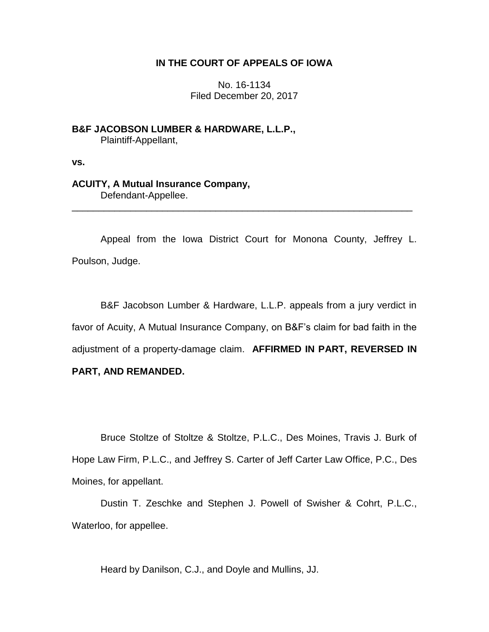# **IN THE COURT OF APPEALS OF IOWA**

No. 16-1134 Filed December 20, 2017

**B&F JACOBSON LUMBER & HARDWARE, L.L.P.,** Plaintiff-Appellant,

**vs.**

**ACUITY, A Mutual Insurance Company,** Defendant-Appellee.

Appeal from the Iowa District Court for Monona County, Jeffrey L. Poulson, Judge.

\_\_\_\_\_\_\_\_\_\_\_\_\_\_\_\_\_\_\_\_\_\_\_\_\_\_\_\_\_\_\_\_\_\_\_\_\_\_\_\_\_\_\_\_\_\_\_\_\_\_\_\_\_\_\_\_\_\_\_\_\_\_\_\_

B&F Jacobson Lumber & Hardware, L.L.P. appeals from a jury verdict in favor of Acuity, A Mutual Insurance Company, on B&F's claim for bad faith in the adjustment of a property-damage claim. **AFFIRMED IN PART, REVERSED IN PART, AND REMANDED.**

Bruce Stoltze of Stoltze & Stoltze, P.L.C., Des Moines, Travis J. Burk of Hope Law Firm, P.L.C., and Jeffrey S. Carter of Jeff Carter Law Office, P.C., Des Moines, for appellant.

Dustin T. Zeschke and Stephen J. Powell of Swisher & Cohrt, P.L.C., Waterloo, for appellee.

Heard by Danilson, C.J., and Doyle and Mullins, JJ.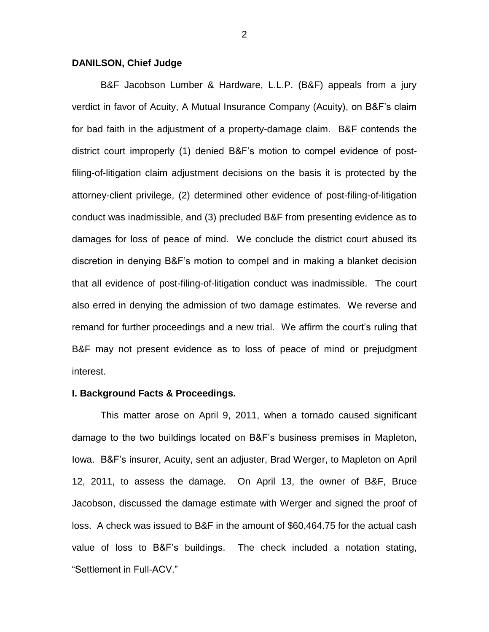### **DANILSON, Chief Judge**

B&F Jacobson Lumber & Hardware, L.L.P. (B&F) appeals from a jury verdict in favor of Acuity, A Mutual Insurance Company (Acuity), on B&F's claim for bad faith in the adjustment of a property-damage claim. B&F contends the district court improperly (1) denied B&F's motion to compel evidence of postfiling-of-litigation claim adjustment decisions on the basis it is protected by the attorney-client privilege, (2) determined other evidence of post-filing-of-litigation conduct was inadmissible, and (3) precluded B&F from presenting evidence as to damages for loss of peace of mind. We conclude the district court abused its discretion in denying B&F's motion to compel and in making a blanket decision that all evidence of post-filing-of-litigation conduct was inadmissible. The court also erred in denying the admission of two damage estimates. We reverse and remand for further proceedings and a new trial. We affirm the court's ruling that B&F may not present evidence as to loss of peace of mind or prejudgment interest.

### **I. Background Facts & Proceedings.**

This matter arose on April 9, 2011, when a tornado caused significant damage to the two buildings located on B&F's business premises in Mapleton, Iowa. B&F's insurer, Acuity, sent an adjuster, Brad Werger, to Mapleton on April 12, 2011, to assess the damage. On April 13, the owner of B&F, Bruce Jacobson, discussed the damage estimate with Werger and signed the proof of loss. A check was issued to B&F in the amount of \$60,464.75 for the actual cash value of loss to B&F's buildings. The check included a notation stating, "Settlement in Full-ACV."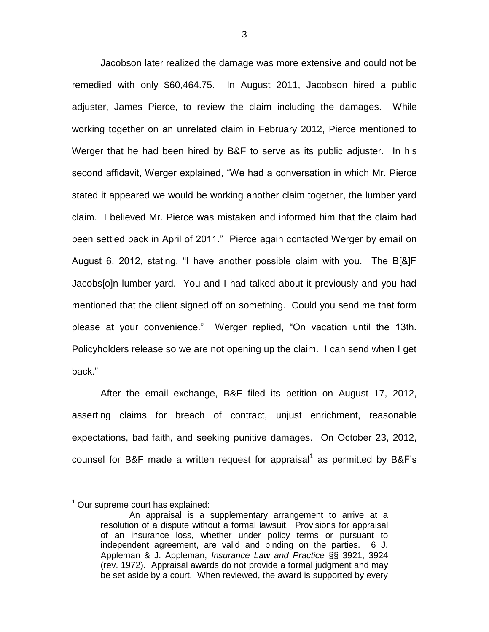Jacobson later realized the damage was more extensive and could not be remedied with only \$60,464.75. In August 2011, Jacobson hired a public adjuster, James Pierce, to review the claim including the damages. While working together on an unrelated claim in February 2012, Pierce mentioned to Werger that he had been hired by B&F to serve as its public adjuster. In his second affidavit, Werger explained, "We had a conversation in which Mr. Pierce stated it appeared we would be working another claim together, the lumber yard claim. I believed Mr. Pierce was mistaken and informed him that the claim had been settled back in April of 2011." Pierce again contacted Werger by email on August 6, 2012, stating, "I have another possible claim with you. The B[&]F Jacobs[o]n lumber yard. You and I had talked about it previously and you had mentioned that the client signed off on something. Could you send me that form please at your convenience." Werger replied, "On vacation until the 13th. Policyholders release so we are not opening up the claim. I can send when I get back."

After the email exchange, B&F filed its petition on August 17, 2012, asserting claims for breach of contract, unjust enrichment, reasonable expectations, bad faith, and seeking punitive damages. On October 23, 2012, counsel for B&F made a written request for appraisal<sup>1</sup> as permitted by B&F's

 $1$  Our supreme court has explained:

An appraisal is a supplementary arrangement to arrive at a resolution of a dispute without a formal lawsuit. Provisions for appraisal of an insurance loss, whether under policy terms or pursuant to independent agreement, are valid and binding on the parties. 6 J. Appleman & J. Appleman, *Insurance Law and Practice* §§ 3921, 3924 (rev. 1972). Appraisal awards do not provide a formal judgment and may be set aside by a court. When reviewed, the award is supported by every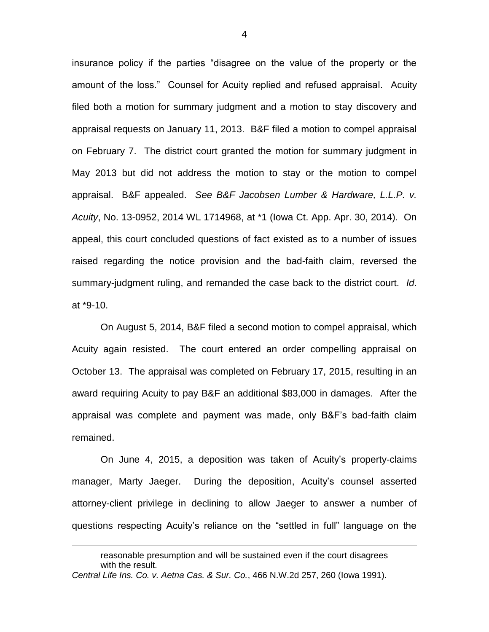insurance policy if the parties "disagree on the value of the property or the amount of the loss." Counsel for Acuity replied and refused appraisal. Acuity filed both a motion for summary judgment and a motion to stay discovery and appraisal requests on January 11, 2013. B&F filed a motion to compel appraisal on February 7. The district court granted the motion for summary judgment in May 2013 but did not address the motion to stay or the motion to compel appraisal. B&F appealed. *See B&F Jacobsen Lumber & Hardware, L.L.P. v. Acuity*, No. 13-0952, 2014 WL 1714968, at \*1 (Iowa Ct. App. Apr. 30, 2014). On appeal, this court concluded questions of fact existed as to a number of issues raised regarding the notice provision and the bad-faith claim, reversed the summary-judgment ruling, and remanded the case back to the district court. *Id*. at \*9-10.

On August 5, 2014, B&F filed a second motion to compel appraisal, which Acuity again resisted. The court entered an order compelling appraisal on October 13. The appraisal was completed on February 17, 2015, resulting in an award requiring Acuity to pay B&F an additional \$83,000 in damages. After the appraisal was complete and payment was made, only B&F's bad-faith claim remained.

On June 4, 2015, a deposition was taken of Acuity's property-claims manager, Marty Jaeger. During the deposition, Acuity's counsel asserted attorney-client privilege in declining to allow Jaeger to answer a number of questions respecting Acuity's reliance on the "settled in full" language on the

reasonable presumption and will be sustained even if the court disagrees with the result. *Central Life Ins. Co. v. Aetna Cas. & Sur. Co.*, 466 N.W.2d 257, 260 (Iowa 1991).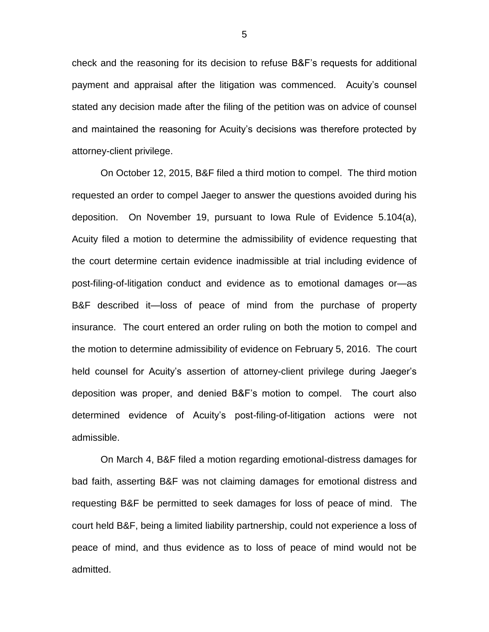check and the reasoning for its decision to refuse B&F's requests for additional payment and appraisal after the litigation was commenced. Acuity's counsel stated any decision made after the filing of the petition was on advice of counsel and maintained the reasoning for Acuity's decisions was therefore protected by attorney-client privilege.

On October 12, 2015, B&F filed a third motion to compel. The third motion requested an order to compel Jaeger to answer the questions avoided during his deposition. On November 19, pursuant to Iowa Rule of Evidence 5.104(a), Acuity filed a motion to determine the admissibility of evidence requesting that the court determine certain evidence inadmissible at trial including evidence of post-filing-of-litigation conduct and evidence as to emotional damages or—as B&F described it—loss of peace of mind from the purchase of property insurance. The court entered an order ruling on both the motion to compel and the motion to determine admissibility of evidence on February 5, 2016. The court held counsel for Acuity's assertion of attorney-client privilege during Jaeger's deposition was proper, and denied B&F's motion to compel. The court also determined evidence of Acuity's post-filing-of-litigation actions were not admissible.

On March 4, B&F filed a motion regarding emotional-distress damages for bad faith, asserting B&F was not claiming damages for emotional distress and requesting B&F be permitted to seek damages for loss of peace of mind. The court held B&F, being a limited liability partnership, could not experience a loss of peace of mind, and thus evidence as to loss of peace of mind would not be admitted.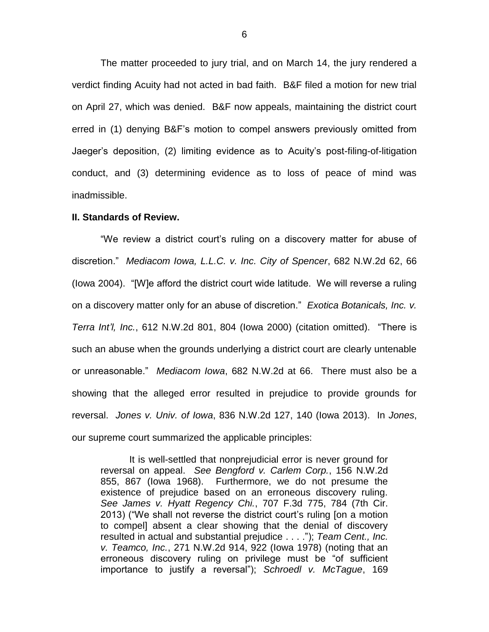The matter proceeded to jury trial, and on March 14, the jury rendered a verdict finding Acuity had not acted in bad faith. B&F filed a motion for new trial on April 27, which was denied. B&F now appeals, maintaining the district court erred in (1) denying B&F's motion to compel answers previously omitted from Jaeger's deposition, (2) limiting evidence as to Acuity's post-filing-of-litigation conduct, and (3) determining evidence as to loss of peace of mind was inadmissible.

### **II. Standards of Review.**

"We review a district court's ruling on a discovery matter for abuse of discretion." *Mediacom Iowa, L.L.C. v. Inc. City of Spencer*, 682 N.W.2d 62, 66 (Iowa 2004). "[W]e afford the district court wide latitude. We will reverse a ruling on a discovery matter only for an abuse of discretion." *Exotica Botanicals, Inc. v. Terra Int'l, Inc.*, 612 N.W.2d 801, 804 (Iowa 2000) (citation omitted). "There is such an abuse when the grounds underlying a district court are clearly untenable or unreasonable." *Mediacom Iowa*, 682 N.W.2d at 66. There must also be a showing that the alleged error resulted in prejudice to provide grounds for reversal. *Jones v. Univ. of Iowa*, 836 N.W.2d 127, 140 (Iowa 2013). In *Jones*, our supreme court summarized the applicable principles:

It is well-settled that nonprejudicial error is never ground for reversal on appeal. *See Bengford v. Carlem Corp.*, 156 N.W.2d 855, 867 (Iowa 1968). Furthermore, we do not presume the existence of prejudice based on an erroneous discovery ruling. *See James v. Hyatt Regency Chi.*, 707 F.3d 775, 784 (7th Cir. 2013) ("We shall not reverse the district court's ruling [on a motion to compel] absent a clear showing that the denial of discovery resulted in actual and substantial prejudice . . . ."); *Team Cent., Inc. v. Teamco, Inc.*, 271 N.W.2d 914, 922 (Iowa 1978) (noting that an erroneous discovery ruling on privilege must be "of sufficient importance to justify a reversal"); *Schroedl v. McTague*, 169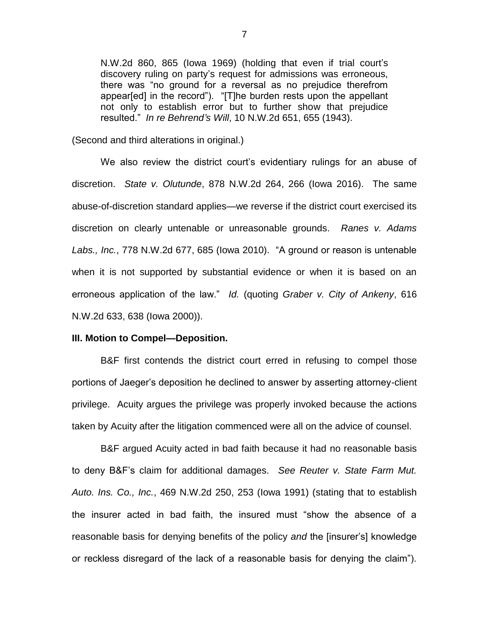N.W.2d 860, 865 (Iowa 1969) (holding that even if trial court's discovery ruling on party's request for admissions was erroneous, there was "no ground for a reversal as no prejudice therefrom appear[ed] in the record"). "[T]he burden rests upon the appellant not only to establish error but to further show that prejudice resulted." *In re Behrend's Will*, 10 N.W.2d 651, 655 (1943).

(Second and third alterations in original.)

We also review the district court's evidentiary rulings for an abuse of discretion. *State v. Olutunde*, 878 N.W.2d 264, 266 (Iowa 2016). The same abuse-of-discretion standard applies—we reverse if the district court exercised its discretion on clearly untenable or unreasonable grounds. *Ranes v. Adams Labs., Inc.*, 778 N.W.2d 677, 685 (Iowa 2010). "A ground or reason is untenable when it is not supported by substantial evidence or when it is based on an erroneous application of the law." *Id.* (quoting *Graber v. City of Ankeny*, 616 N.W.2d 633, 638 (Iowa 2000)).

### **III. Motion to Compel—Deposition.**

B&F first contends the district court erred in refusing to compel those portions of Jaeger's deposition he declined to answer by asserting attorney-client privilege. Acuity argues the privilege was properly invoked because the actions taken by Acuity after the litigation commenced were all on the advice of counsel.

B&F argued Acuity acted in bad faith because it had no reasonable basis to deny B&F's claim for additional damages. *See Reuter v. State Farm Mut. Auto. Ins. Co., Inc.*, 469 N.W.2d 250, 253 (Iowa 1991) (stating that to establish the insurer acted in bad faith, the insured must "show the absence of a reasonable basis for denying benefits of the policy *and* the [insurer's] knowledge or reckless disregard of the lack of a reasonable basis for denying the claim").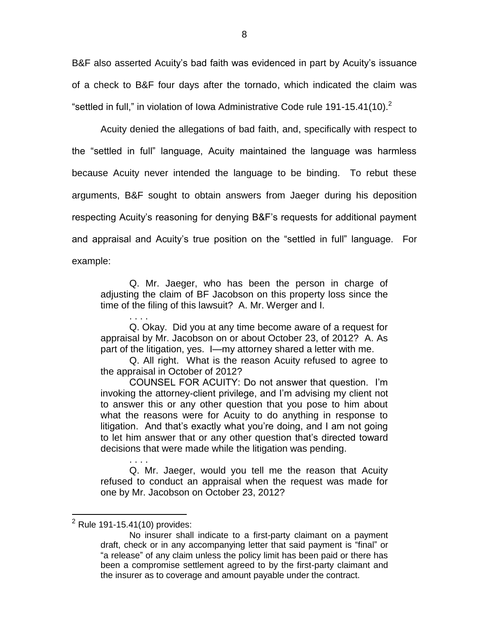B&F also asserted Acuity's bad faith was evidenced in part by Acuity's issuance of a check to B&F four days after the tornado, which indicated the claim was "settled in full," in violation of Iowa Administrative Code rule 191-15.41(10). $^2$ 

Acuity denied the allegations of bad faith, and, specifically with respect to the "settled in full" language, Acuity maintained the language was harmless because Acuity never intended the language to be binding. To rebut these arguments, B&F sought to obtain answers from Jaeger during his deposition respecting Acuity's reasoning for denying B&F's requests for additional payment and appraisal and Acuity's true position on the "settled in full" language. For example:

Q. Mr. Jaeger, who has been the person in charge of adjusting the claim of BF Jacobson on this property loss since the time of the filing of this lawsuit? A. Mr. Werger and I.

. . . . Q. Okay. Did you at any time become aware of a request for appraisal by Mr. Jacobson on or about October 23, of 2012? A. As part of the litigation, yes. I—my attorney shared a letter with me.

Q. All right. What is the reason Acuity refused to agree to the appraisal in October of 2012?

COUNSEL FOR ACUITY: Do not answer that question. I'm invoking the attorney-client privilege, and I'm advising my client not to answer this or any other question that you pose to him about what the reasons were for Acuity to do anything in response to litigation. And that's exactly what you're doing, and I am not going to let him answer that or any other question that's directed toward decisions that were made while the litigation was pending.

. . . . Q. Mr. Jaeger, would you tell me the reason that Acuity refused to conduct an appraisal when the request was made for one by Mr. Jacobson on October 23, 2012?

 $2$  Rule 191-15.41(10) provides:

No insurer shall indicate to a first-party claimant on a payment draft, check or in any accompanying letter that said payment is "final" or "a release" of any claim unless the policy limit has been paid or there has been a compromise settlement agreed to by the first-party claimant and the insurer as to coverage and amount payable under the contract.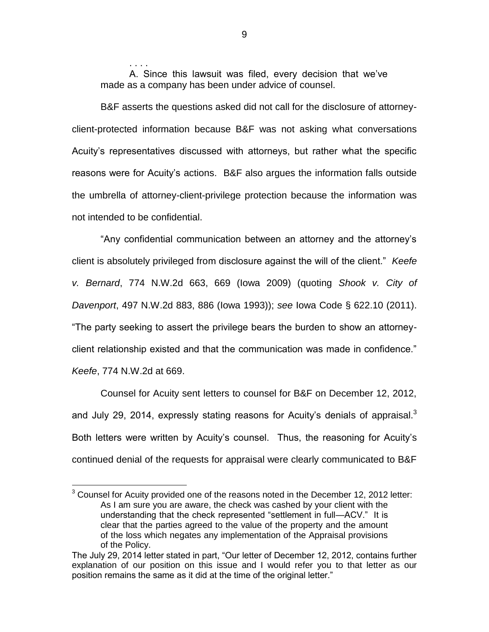. . . . A. Since this lawsuit was filed, every decision that we've made as a company has been under advice of counsel.

B&F asserts the questions asked did not call for the disclosure of attorneyclient-protected information because B&F was not asking what conversations Acuity's representatives discussed with attorneys, but rather what the specific reasons were for Acuity's actions. B&F also argues the information falls outside the umbrella of attorney-client-privilege protection because the information was not intended to be confidential.

"Any confidential communication between an attorney and the attorney's client is absolutely privileged from disclosure against the will of the client." *Keefe v. Bernard*, 774 N.W.2d 663, 669 (Iowa 2009) (quoting *Shook v. City of Davenport*, 497 N.W.2d 883, 886 (Iowa 1993)); *see* Iowa Code § 622.10 (2011). "The party seeking to assert the privilege bears the burden to show an attorneyclient relationship existed and that the communication was made in confidence." *Keefe*, 774 N.W.2d at 669.

Counsel for Acuity sent letters to counsel for B&F on December 12, 2012, and July 29, 2014, expressly stating reasons for Acuity's denials of appraisal.<sup>3</sup> Both letters were written by Acuity's counsel. Thus, the reasoning for Acuity's continued denial of the requests for appraisal were clearly communicated to B&F

 $\overline{a}$ 

9

 $3$  Counsel for Acuity provided one of the reasons noted in the December 12, 2012 letter: As I am sure you are aware, the check was cashed by your client with the understanding that the check represented "settlement in full—ACV." It is clear that the parties agreed to the value of the property and the amount of the loss which negates any implementation of the Appraisal provisions of the Policy.

The July 29, 2014 letter stated in part, "Our letter of December 12, 2012, contains further explanation of our position on this issue and I would refer you to that letter as our position remains the same as it did at the time of the original letter."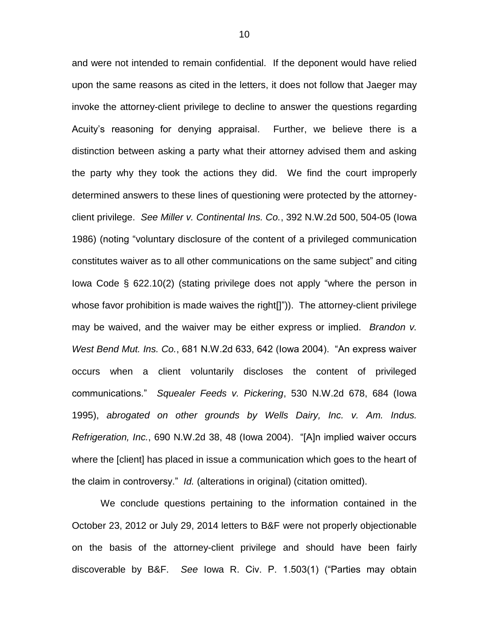and were not intended to remain confidential. If the deponent would have relied upon the same reasons as cited in the letters, it does not follow that Jaeger may invoke the attorney-client privilege to decline to answer the questions regarding Acuity's reasoning for denying appraisal. Further, we believe there is a distinction between asking a party what their attorney advised them and asking the party why they took the actions they did. We find the court improperly determined answers to these lines of questioning were protected by the attorneyclient privilege. *See Miller v. Continental Ins. Co.*, 392 N.W.2d 500, 504-05 (Iowa 1986) (noting "voluntary disclosure of the content of a privileged communication constitutes waiver as to all other communications on the same subject" and citing Iowa Code § 622.10(2) (stating privilege does not apply "where the person in whose favor prohibition is made waives the right[]")). The attorney-client privilege may be waived, and the waiver may be either express or implied. *Brandon v. West Bend Mut. Ins. Co.*, 681 N.W.2d 633, 642 (Iowa 2004). "An express waiver occurs when a client voluntarily discloses the content of privileged communications." *Squealer Feeds v. Pickering*, 530 N.W.2d 678, 684 (Iowa 1995), *abrogated on other grounds by Wells Dairy, Inc. v. Am. Indus. Refrigeration, Inc.*, 690 N.W.2d 38, 48 (Iowa 2004). "[A]n implied waiver occurs where the [client] has placed in issue a communication which goes to the heart of the claim in controversy." *Id.* (alterations in original) (citation omitted).

We conclude questions pertaining to the information contained in the October 23, 2012 or July 29, 2014 letters to B&F were not properly objectionable on the basis of the attorney-client privilege and should have been fairly discoverable by B&F. *See* Iowa R. Civ. P. 1.503(1) ("Parties may obtain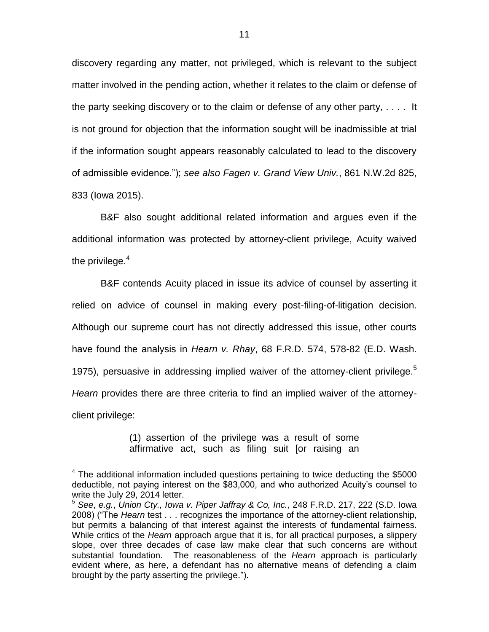discovery regarding any matter, not privileged, which is relevant to the subject matter involved in the pending action, whether it relates to the claim or defense of the party seeking discovery or to the claim or defense of any other party, . . . . It is not ground for objection that the information sought will be inadmissible at trial if the information sought appears reasonably calculated to lead to the discovery of admissible evidence."); *see also Fagen v. Grand View Univ.*, 861 N.W.2d 825, 833 (Iowa 2015).

B&F also sought additional related information and argues even if the additional information was protected by attorney-client privilege, Acuity waived the privilege. $4$ 

B&F contends Acuity placed in issue its advice of counsel by asserting it relied on advice of counsel in making every post-filing-of-litigation decision. Although our supreme court has not directly addressed this issue, other courts have found the analysis in *Hearn v. Rhay*, 68 F.R.D. 574, 578-82 (E.D. Wash. 1975), persuasive in addressing implied waiver of the attorney-client privilege.<sup>5</sup> *Hearn* provides there are three criteria to find an implied waiver of the attorneyclient privilege:

> (1) assertion of the privilege was a result of some affirmative act, such as filing suit [or raising an

 $4$  The additional information included questions pertaining to twice deducting the \$5000 deductible, not paying interest on the \$83,000, and who authorized Acuity's counsel to write the July 29, 2014 letter.

<sup>5</sup> *See*, *e.g.*, *Union Cty., Iowa v. Piper Jaffray & Co, Inc.*, 248 F.R.D. 217, 222 (S.D. Iowa 2008) ("The *Hearn* test . . . recognizes the importance of the attorney-client relationship, but permits a balancing of that interest against the interests of fundamental fairness. While critics of the *Hearn* approach argue that it is, for all practical purposes, a slippery slope, over three decades of case law make clear that such concerns are without substantial foundation. The reasonableness of the *Hearn* approach is particularly evident where, as here, a defendant has no alternative means of defending a claim brought by the party asserting the privilege.").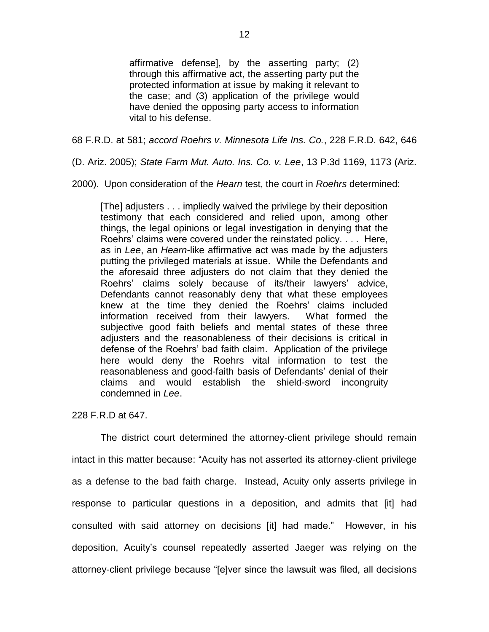affirmative defense], by the asserting party; (2) through this affirmative act, the asserting party put the protected information at issue by making it relevant to the case; and (3) application of the privilege would have denied the opposing party access to information vital to his defense.

68 F.R.D. at 581; *accord Roehrs v. Minnesota Life Ins. Co.*, 228 F.R.D. 642, 646

(D. Ariz. 2005); *State Farm Mut. Auto. Ins. Co. v. Lee*, 13 P.3d 1169, 1173 (Ariz.

2000). Upon consideration of the *Hearn* test, the court in *Roehrs* determined:

[The] adjusters . . . impliedly waived the privilege by their deposition testimony that each considered and relied upon, among other things, the legal opinions or legal investigation in denying that the Roehrs' claims were covered under the reinstated policy. . . . Here, as in *Lee*, an *Hearn*-like affirmative act was made by the adjusters putting the privileged materials at issue. While the Defendants and the aforesaid three adjusters do not claim that they denied the Roehrs' claims solely because of its/their lawyers' advice, Defendants cannot reasonably deny that what these employees knew at the time they denied the Roehrs' claims included information received from their lawyers. What formed the subjective good faith beliefs and mental states of these three adjusters and the reasonableness of their decisions is critical in defense of the Roehrs' bad faith claim. Application of the privilege here would deny the Roehrs vital information to test the reasonableness and good-faith basis of Defendants' denial of their claims and would establish the shield-sword incongruity condemned in *Lee*.

228 F.R.D at 647.

The district court determined the attorney-client privilege should remain intact in this matter because: "Acuity has not asserted its attorney-client privilege as a defense to the bad faith charge. Instead, Acuity only asserts privilege in response to particular questions in a deposition, and admits that [it] had consulted with said attorney on decisions [it] had made." However, in his deposition, Acuity's counsel repeatedly asserted Jaeger was relying on the attorney-client privilege because "[e]ver since the lawsuit was filed, all decisions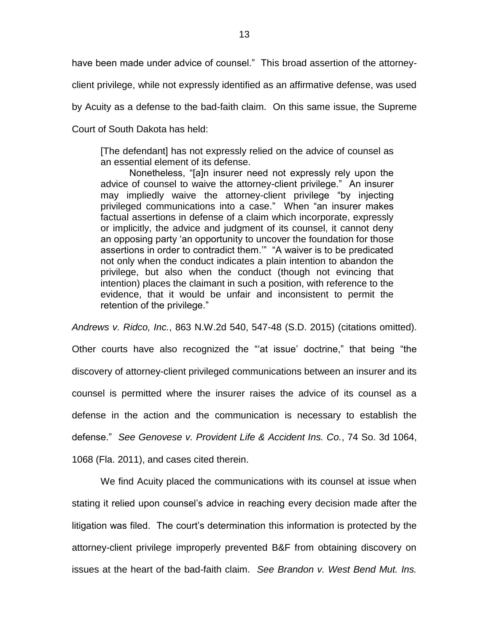have been made under advice of counsel." This broad assertion of the attorney-

client privilege, while not expressly identified as an affirmative defense, was used

by Acuity as a defense to the bad-faith claim. On this same issue, the Supreme

Court of South Dakota has held:

[The defendant] has not expressly relied on the advice of counsel as an essential element of its defense.

Nonetheless, "[a]n insurer need not expressly rely upon the advice of counsel to waive the attorney-client privilege." An insurer may impliedly waive the attorney-client privilege "by injecting privileged communications into a case." When "an insurer makes factual assertions in defense of a claim which incorporate, expressly or implicitly, the advice and judgment of its counsel, it cannot deny an opposing party 'an opportunity to uncover the foundation for those assertions in order to contradict them.'" "A waiver is to be predicated not only when the conduct indicates a plain intention to abandon the privilege, but also when the conduct (though not evincing that intention) places the claimant in such a position, with reference to the evidence, that it would be unfair and inconsistent to permit the retention of the privilege."

*Andrews v. Ridco, Inc.*, 863 N.W.2d 540, 547-48 (S.D. 2015) (citations omitted).

Other courts have also recognized the "'at issue' doctrine," that being "the discovery of attorney-client privileged communications between an insurer and its counsel is permitted where the insurer raises the advice of its counsel as a defense in the action and the communication is necessary to establish the defense." *See Genovese v. Provident Life & Accident Ins. Co.*, 74 So. 3d 1064, 1068 (Fla. 2011), and cases cited therein.

We find Acuity placed the communications with its counsel at issue when stating it relied upon counsel's advice in reaching every decision made after the litigation was filed. The court's determination this information is protected by the attorney-client privilege improperly prevented B&F from obtaining discovery on issues at the heart of the bad-faith claim. *See Brandon v. West Bend Mut. Ins.*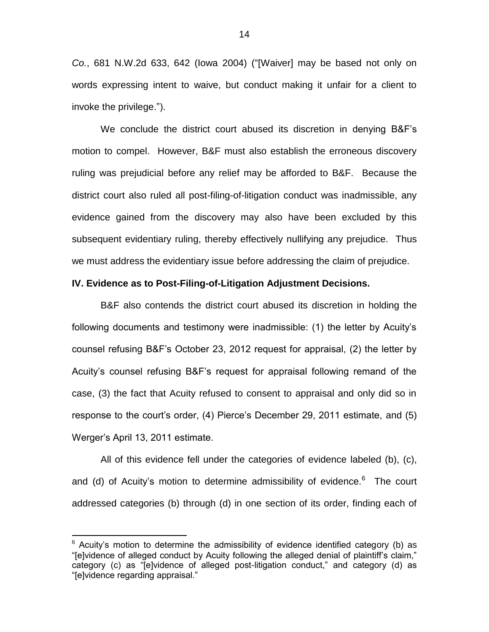*Co.*, 681 N.W.2d 633, 642 (Iowa 2004) ("[Waiver] may be based not only on words expressing intent to waive, but conduct making it unfair for a client to invoke the privilege.").

We conclude the district court abused its discretion in denying B&F's motion to compel. However, B&F must also establish the erroneous discovery ruling was prejudicial before any relief may be afforded to B&F. Because the district court also ruled all post-filing-of-litigation conduct was inadmissible, any evidence gained from the discovery may also have been excluded by this subsequent evidentiary ruling, thereby effectively nullifying any prejudice. Thus we must address the evidentiary issue before addressing the claim of prejudice.

## **IV. Evidence as to Post-Filing-of-Litigation Adjustment Decisions.**

B&F also contends the district court abused its discretion in holding the following documents and testimony were inadmissible: (1) the letter by Acuity's counsel refusing B&F's October 23, 2012 request for appraisal, (2) the letter by Acuity's counsel refusing B&F's request for appraisal following remand of the case, (3) the fact that Acuity refused to consent to appraisal and only did so in response to the court's order, (4) Pierce's December 29, 2011 estimate, and (5) Werger's April 13, 2011 estimate.

All of this evidence fell under the categories of evidence labeled (b), (c), and (d) of Acuity's motion to determine admissibility of evidence.<sup>6</sup> The court addressed categories (b) through (d) in one section of its order, finding each of

 $6$  Acuity's motion to determine the admissibility of evidence identified category (b) as "[e]vidence of alleged conduct by Acuity following the alleged denial of plaintiff's claim," category (c) as "[e]vidence of alleged post-litigation conduct," and category (d) as "[e]vidence regarding appraisal."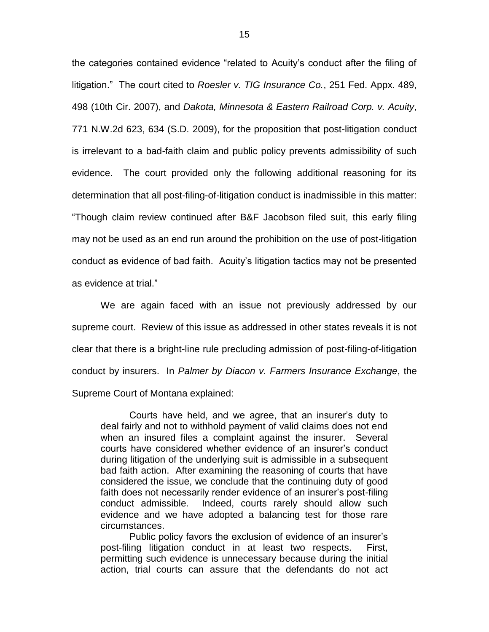the categories contained evidence "related to Acuity's conduct after the filing of litigation." The court cited to *Roesler v. TIG Insurance Co.*, 251 Fed. Appx. 489, 498 (10th Cir. 2007), and *Dakota, Minnesota & Eastern Railroad Corp. v. Acuity*, 771 N.W.2d 623, 634 (S.D. 2009), for the proposition that post-litigation conduct is irrelevant to a bad-faith claim and public policy prevents admissibility of such evidence. The court provided only the following additional reasoning for its determination that all post-filing-of-litigation conduct is inadmissible in this matter: "Though claim review continued after B&F Jacobson filed suit, this early filing may not be used as an end run around the prohibition on the use of post-litigation conduct as evidence of bad faith. Acuity's litigation tactics may not be presented as evidence at trial."

We are again faced with an issue not previously addressed by our supreme court. Review of this issue as addressed in other states reveals it is not clear that there is a bright-line rule precluding admission of post-filing-of-litigation conduct by insurers. In *Palmer by Diacon v. Farmers Insurance Exchange*, the Supreme Court of Montana explained:

Courts have held, and we agree, that an insurer's duty to deal fairly and not to withhold payment of valid claims does not end when an insured files a complaint against the insurer. Several courts have considered whether evidence of an insurer's conduct during litigation of the underlying suit is admissible in a subsequent bad faith action. After examining the reasoning of courts that have considered the issue, we conclude that the continuing duty of good faith does not necessarily render evidence of an insurer's post-filing conduct admissible. Indeed, courts rarely should allow such evidence and we have adopted a balancing test for those rare circumstances.

Public policy favors the exclusion of evidence of an insurer's post-filing litigation conduct in at least two respects. First, permitting such evidence is unnecessary because during the initial action, trial courts can assure that the defendants do not act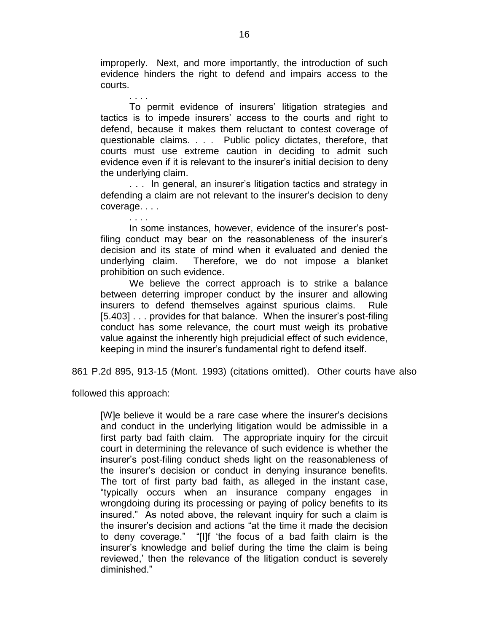improperly. Next, and more importantly, the introduction of such evidence hinders the right to defend and impairs access to the courts.

. . . . To permit evidence of insurers' litigation strategies and tactics is to impede insurers' access to the courts and right to defend, because it makes them reluctant to contest coverage of questionable claims. . . . Public policy dictates, therefore, that courts must use extreme caution in deciding to admit such evidence even if it is relevant to the insurer's initial decision to deny the underlying claim.

. . . In general, an insurer's litigation tactics and strategy in defending a claim are not relevant to the insurer's decision to deny coverage. . . .

In some instances, however, evidence of the insurer's postfiling conduct may bear on the reasonableness of the insurer's decision and its state of mind when it evaluated and denied the underlying claim. Therefore, we do not impose a blanket prohibition on such evidence.

We believe the correct approach is to strike a balance between deterring improper conduct by the insurer and allowing insurers to defend themselves against spurious claims. Rule [5.403] . . . provides for that balance. When the insurer's post-filing conduct has some relevance, the court must weigh its probative value against the inherently high prejudicial effect of such evidence, keeping in mind the insurer's fundamental right to defend itself.

861 P.2d 895, 913-15 (Mont. 1993) (citations omitted). Other courts have also

followed this approach:

[W]e believe it would be a rare case where the insurer's decisions and conduct in the underlying litigation would be admissible in a first party bad faith claim. The appropriate inquiry for the circuit court in determining the relevance of such evidence is whether the insurer's post-filing conduct sheds light on the reasonableness of the insurer's decision or conduct in denying insurance benefits. The tort of first party bad faith, as alleged in the instant case, "typically occurs when an insurance company engages in wrongdoing during its processing or paying of policy benefits to its insured." As noted above, the relevant inquiry for such a claim is the insurer's decision and actions "at the time it made the decision to deny coverage." "[I]f 'the focus of a bad faith claim is the insurer's knowledge and belief during the time the claim is being reviewed,' then the relevance of the litigation conduct is severely diminished."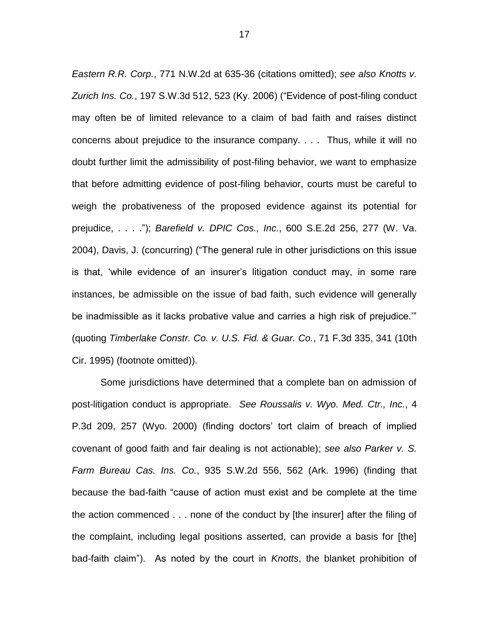*Eastern R.R. Corp.*, 771 N.W.2d at 635-36 (citations omitted); *see also Knotts v. Zurich Ins. Co.*, 197 S.W.3d 512, 523 (Ky. 2006) ("Evidence of post-filing conduct may often be of limited relevance to a claim of bad faith and raises distinct concerns about prejudice to the insurance company. . . . Thus, while it will no doubt further limit the admissibility of post-filing behavior, we want to emphasize that before admitting evidence of post-filing behavior, courts must be careful to weigh the probativeness of the proposed evidence against its potential for prejudice, . . . ."); *Barefield v. DPIC Cos., Inc.*, 600 S.E.2d 256, 277 (W. Va. 2004), Davis, J. (concurring) ("The general rule in other jurisdictions on this issue is that, 'while evidence of an insurer's litigation conduct may, in some rare instances, be admissible on the issue of bad faith, such evidence will generally be inadmissible as it lacks probative value and carries a high risk of prejudice.'" (quoting *Timberlake Constr. Co. v. U.S. Fid. & Guar. Co.*, 71 F.3d 335, 341 (10th Cir. 1995) (footnote omitted)).

Some jurisdictions have determined that a complete ban on admission of post-litigation conduct is appropriate. *See Roussalis v. Wyo. Med. Ctr., Inc.*, 4 P.3d 209, 257 (Wyo. 2000) (finding doctors' tort claim of breach of implied covenant of good faith and fair dealing is not actionable); *see also Parker v. S. Farm Bureau Cas. Ins. Co.*, 935 S.W.2d 556, 562 (Ark. 1996) (finding that because the bad-faith "cause of action must exist and be complete at the time the action commenced . . . none of the conduct by [the insurer] after the filing of the complaint, including legal positions asserted, can provide a basis for [the] bad-faith claim"). As noted by the court in *Knotts*, the blanket prohibition of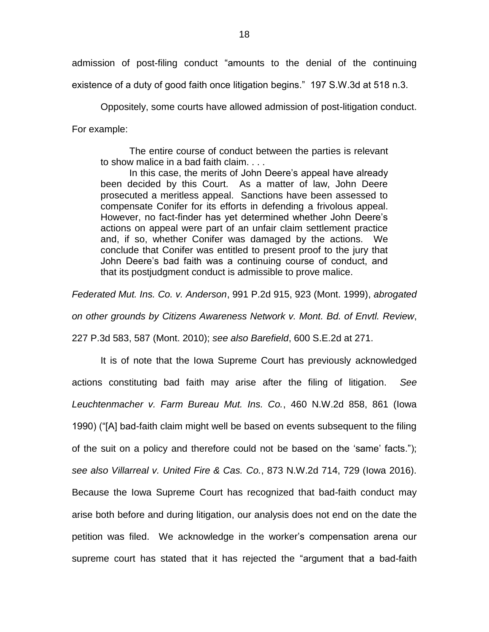admission of post-filing conduct "amounts to the denial of the continuing

existence of a duty of good faith once litigation begins." 197 S.W.3d at 518 n.3.

Oppositely, some courts have allowed admission of post-litigation conduct. For example:

The entire course of conduct between the parties is relevant to show malice in a bad faith claim. . . .

In this case, the merits of John Deere's appeal have already been decided by this Court. As a matter of law, John Deere prosecuted a meritless appeal. Sanctions have been assessed to compensate Conifer for its efforts in defending a frivolous appeal. However, no fact-finder has yet determined whether John Deere's actions on appeal were part of an unfair claim settlement practice and, if so, whether Conifer was damaged by the actions. We conclude that Conifer was entitled to present proof to the jury that John Deere's bad faith was a continuing course of conduct, and that its postjudgment conduct is admissible to prove malice.

*Federated Mut. Ins. Co. v. Anderson*, 991 P.2d 915, 923 (Mont. 1999), *abrogated* 

*on other grounds by Citizens Awareness Network v. Mont. Bd. of Envtl. Review*,

227 P.3d 583, 587 (Mont. 2010); *see also Barefield*, 600 S.E.2d at 271.

It is of note that the Iowa Supreme Court has previously acknowledged actions constituting bad faith may arise after the filing of litigation. *See Leuchtenmacher v. Farm Bureau Mut. Ins. Co.*, 460 N.W.2d 858, 861 (Iowa 1990) ("[A] bad-faith claim might well be based on events subsequent to the filing of the suit on a policy and therefore could not be based on the 'same' facts."); *see also Villarreal v. United Fire & Cas. Co.*, 873 N.W.2d 714, 729 (Iowa 2016). Because the Iowa Supreme Court has recognized that bad-faith conduct may arise both before and during litigation, our analysis does not end on the date the petition was filed. We acknowledge in the worker's compensation arena our supreme court has stated that it has rejected the "argument that a bad-faith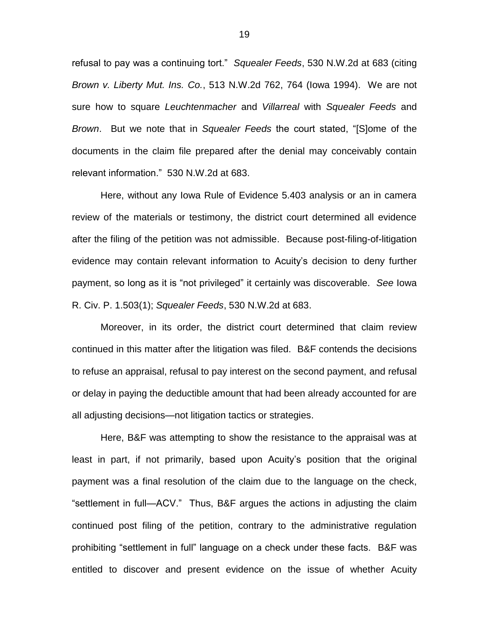refusal to pay was a continuing tort." *Squealer Feeds*, 530 N.W.2d at 683 (citing *Brown v. Liberty Mut. Ins. Co.*, 513 N.W.2d 762, 764 (Iowa 1994). We are not sure how to square *Leuchtenmacher* and *Villarreal* with *Squealer Feeds* and *Brown*. But we note that in *Squealer Feeds* the court stated, "[S]ome of the documents in the claim file prepared after the denial may conceivably contain relevant information." 530 N.W.2d at 683.

Here, without any Iowa Rule of Evidence 5.403 analysis or an in camera review of the materials or testimony, the district court determined all evidence after the filing of the petition was not admissible. Because post-filing-of-litigation evidence may contain relevant information to Acuity's decision to deny further payment, so long as it is "not privileged" it certainly was discoverable. *See* Iowa R. Civ. P. 1.503(1); *Squealer Feeds*, 530 N.W.2d at 683.

Moreover, in its order, the district court determined that claim review continued in this matter after the litigation was filed. B&F contends the decisions to refuse an appraisal, refusal to pay interest on the second payment, and refusal or delay in paying the deductible amount that had been already accounted for are all adjusting decisions—not litigation tactics or strategies.

Here, B&F was attempting to show the resistance to the appraisal was at least in part, if not primarily, based upon Acuity's position that the original payment was a final resolution of the claim due to the language on the check, "settlement in full—ACV." Thus, B&F argues the actions in adjusting the claim continued post filing of the petition, contrary to the administrative regulation prohibiting "settlement in full" language on a check under these facts. B&F was entitled to discover and present evidence on the issue of whether Acuity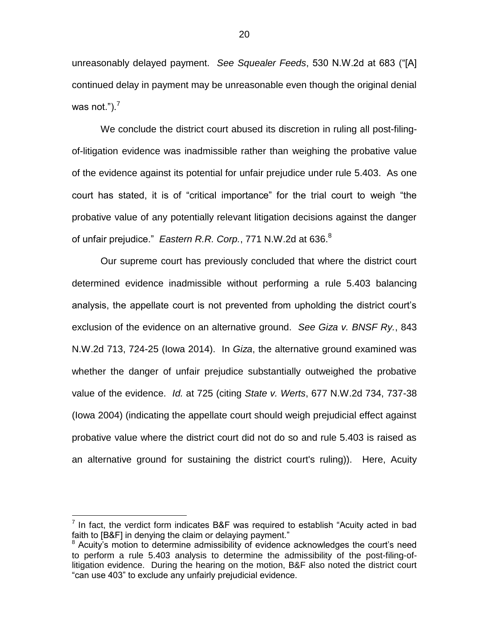unreasonably delayed payment. *See Squealer Feeds*, 530 N.W.2d at 683 ("[A] continued delay in payment may be unreasonable even though the original denial was not." $)^7$ .

We conclude the district court abused its discretion in ruling all post-filingof-litigation evidence was inadmissible rather than weighing the probative value of the evidence against its potential for unfair prejudice under rule 5.403. As one court has stated, it is of "critical importance" for the trial court to weigh "the probative value of any potentially relevant litigation decisions against the danger of unfair prejudice." *Eastern R.R. Corp.*, 771 N.W.2d at 636.<sup>8</sup>

Our supreme court has previously concluded that where the district court determined evidence inadmissible without performing a rule 5.403 balancing analysis, the appellate court is not prevented from upholding the district court's exclusion of the evidence on an alternative ground. *See Giza v. BNSF Ry.*, 843 N.W.2d 713, 724-25 (Iowa 2014). In *Giza*, the alternative ground examined was whether the danger of unfair prejudice substantially outweighed the probative value of the evidence. *Id.* at 725 (citing *State v. Werts*, 677 N.W.2d 734, 737-38 (Iowa 2004) (indicating the appellate court should weigh prejudicial effect against probative value where the district court did not do so and rule 5.403 is raised as an alternative ground for sustaining the district court's ruling)). Here, Acuity

The fact, the verdict form indicates B&F was required to establish "Acuity acted in bad faith to [B&F] in denying the claim or delaying payment."

<sup>&</sup>lt;sup>8</sup> Acuity's motion to determine admissibility of evidence acknowledges the court's need to perform a rule 5.403 analysis to determine the admissibility of the post-filing-oflitigation evidence. During the hearing on the motion, B&F also noted the district court "can use 403" to exclude any unfairly prejudicial evidence.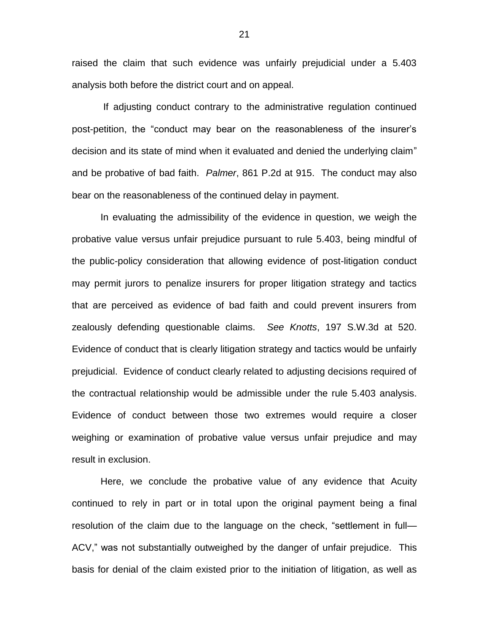raised the claim that such evidence was unfairly prejudicial under a 5.403 analysis both before the district court and on appeal.

If adjusting conduct contrary to the administrative regulation continued post-petition, the "conduct may bear on the reasonableness of the insurer's decision and its state of mind when it evaluated and denied the underlying claim" and be probative of bad faith. *Palmer*, 861 P.2d at 915. The conduct may also bear on the reasonableness of the continued delay in payment.

In evaluating the admissibility of the evidence in question, we weigh the probative value versus unfair prejudice pursuant to rule 5.403, being mindful of the public-policy consideration that allowing evidence of post-litigation conduct may permit jurors to penalize insurers for proper litigation strategy and tactics that are perceived as evidence of bad faith and could prevent insurers from zealously defending questionable claims. *See Knotts*, 197 S.W.3d at 520. Evidence of conduct that is clearly litigation strategy and tactics would be unfairly prejudicial. Evidence of conduct clearly related to adjusting decisions required of the contractual relationship would be admissible under the rule 5.403 analysis. Evidence of conduct between those two extremes would require a closer weighing or examination of probative value versus unfair prejudice and may result in exclusion.

Here, we conclude the probative value of any evidence that Acuity continued to rely in part or in total upon the original payment being a final resolution of the claim due to the language on the check, "settlement in full— ACV," was not substantially outweighed by the danger of unfair prejudice. This basis for denial of the claim existed prior to the initiation of litigation, as well as

21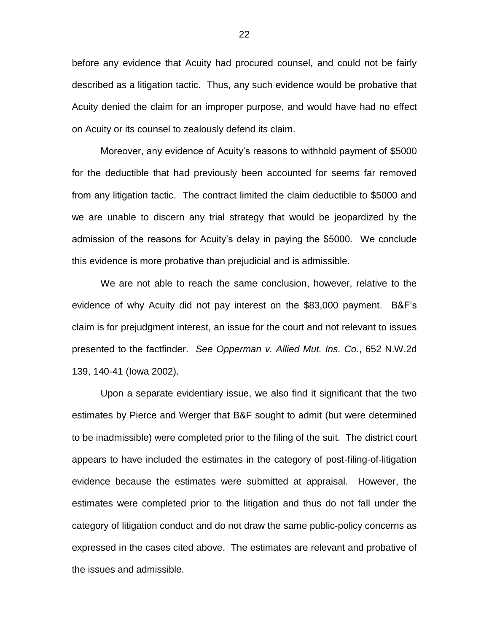before any evidence that Acuity had procured counsel, and could not be fairly described as a litigation tactic. Thus, any such evidence would be probative that Acuity denied the claim for an improper purpose, and would have had no effect on Acuity or its counsel to zealously defend its claim.

Moreover, any evidence of Acuity's reasons to withhold payment of \$5000 for the deductible that had previously been accounted for seems far removed from any litigation tactic. The contract limited the claim deductible to \$5000 and we are unable to discern any trial strategy that would be jeopardized by the admission of the reasons for Acuity's delay in paying the \$5000. We conclude this evidence is more probative than prejudicial and is admissible.

We are not able to reach the same conclusion, however, relative to the evidence of why Acuity did not pay interest on the \$83,000 payment. B&F's claim is for prejudgment interest, an issue for the court and not relevant to issues presented to the factfinder. *See Opperman v. Allied Mut. Ins. Co.*, 652 N.W.2d 139, 140-41 (Iowa 2002).

Upon a separate evidentiary issue, we also find it significant that the two estimates by Pierce and Werger that B&F sought to admit (but were determined to be inadmissible) were completed prior to the filing of the suit. The district court appears to have included the estimates in the category of post-filing-of-litigation evidence because the estimates were submitted at appraisal. However, the estimates were completed prior to the litigation and thus do not fall under the category of litigation conduct and do not draw the same public-policy concerns as expressed in the cases cited above. The estimates are relevant and probative of the issues and admissible.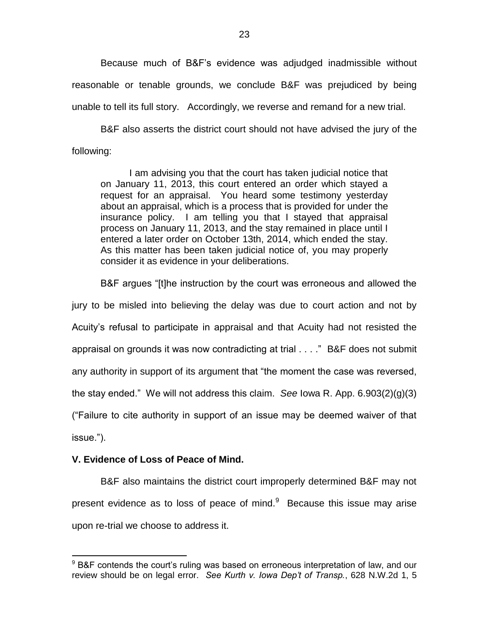Because much of B&F's evidence was adjudged inadmissible without reasonable or tenable grounds, we conclude B&F was prejudiced by being unable to tell its full story. Accordingly, we reverse and remand for a new trial.

B&F also asserts the district court should not have advised the jury of the following:

I am advising you that the court has taken judicial notice that on January 11, 2013, this court entered an order which stayed a request for an appraisal. You heard some testimony yesterday about an appraisal, which is a process that is provided for under the insurance policy. I am telling you that I stayed that appraisal process on January 11, 2013, and the stay remained in place until I entered a later order on October 13th, 2014, which ended the stay. As this matter has been taken judicial notice of, you may properly consider it as evidence in your deliberations.

B&F argues "[t]he instruction by the court was erroneous and allowed the

jury to be misled into believing the delay was due to court action and not by Acuity's refusal to participate in appraisal and that Acuity had not resisted the

appraisal on grounds it was now contradicting at trial . . . ." B&F does not submit

any authority in support of its argument that "the moment the case was reversed,

the stay ended." We will not address this claim. *See* Iowa R. App. 6.903(2)(g)(3)

("Failure to cite authority in support of an issue may be deemed waiver of that

issue.").

 $\overline{a}$ 

## **V. Evidence of Loss of Peace of Mind.**

B&F also maintains the district court improperly determined B&F may not present evidence as to loss of peace of mind. $9$  Because this issue may arise upon re-trial we choose to address it.

<sup>&</sup>lt;sup>9</sup> B&F contends the court's ruling was based on erroneous interpretation of law, and our review should be on legal error. *See Kurth v. Iowa Dep't of Transp.*, 628 N.W.2d 1, 5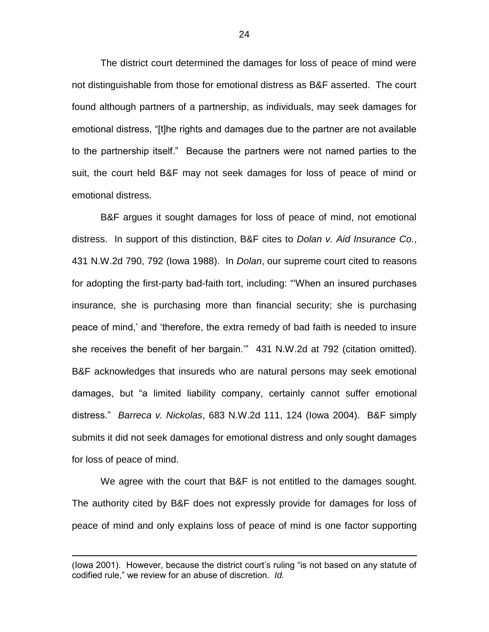The district court determined the damages for loss of peace of mind were not distinguishable from those for emotional distress as B&F asserted. The court found although partners of a partnership, as individuals, may seek damages for emotional distress, "[t]he rights and damages due to the partner are not available to the partnership itself." Because the partners were not named parties to the suit, the court held B&F may not seek damages for loss of peace of mind or emotional distress.

B&F argues it sought damages for loss of peace of mind, not emotional distress. In support of this distinction, B&F cites to *Dolan v. Aid Insurance Co.*, 431 N.W.2d 790, 792 (Iowa 1988). In *Dolan*, our supreme court cited to reasons for adopting the first-party bad-faith tort, including: "'When an insured purchases insurance, she is purchasing more than financial security; she is purchasing peace of mind,' and 'therefore, the extra remedy of bad faith is needed to insure she receives the benefit of her bargain.'" 431 N.W.2d at 792 (citation omitted). B&F acknowledges that insureds who are natural persons may seek emotional damages, but "a limited liability company, certainly cannot suffer emotional distress." *Barreca v. Nickolas*, 683 N.W.2d 111, 124 (Iowa 2004). B&F simply submits it did not seek damages for emotional distress and only sought damages for loss of peace of mind.

We agree with the court that B&F is not entitled to the damages sought. The authority cited by B&F does not expressly provide for damages for loss of peace of mind and only explains loss of peace of mind is one factor supporting

<sup>(</sup>Iowa 2001). However, because the district court's ruling "is not based on any statute of codified rule," we review for an abuse of discretion. *Id.*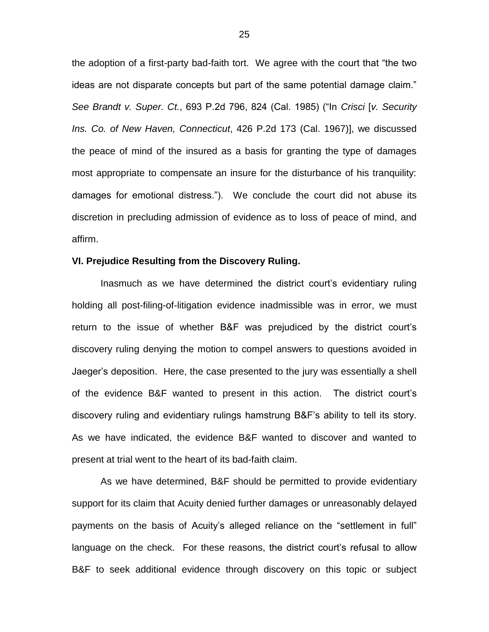the adoption of a first-party bad-faith tort. We agree with the court that "the two ideas are not disparate concepts but part of the same potential damage claim." *See Brandt v. Super. Ct.*, 693 P.2d 796, 824 (Cal. 1985) ("In *Crisci* [*v. Security Ins. Co. of New Haven, Connecticut*, 426 P.2d 173 (Cal. 1967)], we discussed the peace of mind of the insured as a basis for granting the type of damages most appropriate to compensate an insure for the disturbance of his tranquility: damages for emotional distress."). We conclude the court did not abuse its discretion in precluding admission of evidence as to loss of peace of mind, and affirm.

### **VI. Prejudice Resulting from the Discovery Ruling.**

Inasmuch as we have determined the district court's evidentiary ruling holding all post-filing-of-litigation evidence inadmissible was in error, we must return to the issue of whether B&F was prejudiced by the district court's discovery ruling denying the motion to compel answers to questions avoided in Jaeger's deposition. Here, the case presented to the jury was essentially a shell of the evidence B&F wanted to present in this action. The district court's discovery ruling and evidentiary rulings hamstrung B&F's ability to tell its story. As we have indicated, the evidence B&F wanted to discover and wanted to present at trial went to the heart of its bad-faith claim.

As we have determined, B&F should be permitted to provide evidentiary support for its claim that Acuity denied further damages or unreasonably delayed payments on the basis of Acuity's alleged reliance on the "settlement in full" language on the check. For these reasons, the district court's refusal to allow B&F to seek additional evidence through discovery on this topic or subject